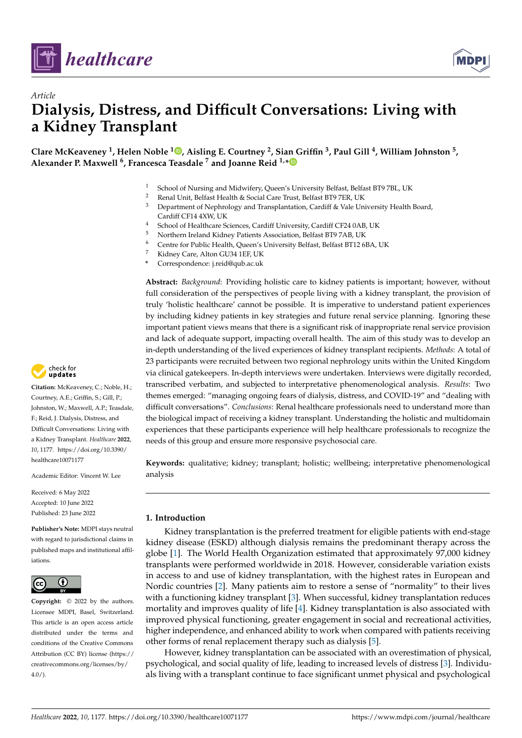

*Article*



# **Dialysis, Distress, and Difficult Conversations: Living with a Kidney Transplant**

**Clare McKeaveney <sup>1</sup> , Helen Noble <sup>1</sup> [,](https://orcid.org/0000-0002-5190-8399) Aisling E. Courtney <sup>2</sup> , Sian Griffin <sup>3</sup> , Paul Gill <sup>4</sup> , William Johnston <sup>5</sup> , Alexander P. Maxwell <sup>6</sup> , Francesca Teasdale <sup>7</sup> and Joanne Reid 1,[\\*](https://orcid.org/0000-0001-5820-862X)**

- <sup>1</sup> School of Nursing and Midwifery, Queen's University Belfast, Belfast BT9 7BL, UK<br><sup>2</sup> Bonal Unit, Belfast Heelth & Social Care Trust, Belfast BT9 7EP, UK
- <sup>2</sup> Renal Unit, Belfast Health & Social Care Trust, Belfast BT9 7ER, UK<br><sup>3</sup> Department of Nephrology and Transplantation Cardiff & Valo Un
- Department of Nephrology and Transplantation, Cardiff & Vale University Health Board, Cardiff CF14 4XW, UK
- <sup>4</sup> School of Healthcare Sciences, Cardiff University, Cardiff CF24 0AB, UK<br><sup>5</sup> Northern Ireland Kidnoy Patients Association, Belfast BT9 7AB, UK
- <sup>5</sup> Northern Ireland Kidney Patients Association, Belfast BT9 7AB, UK
- <sup>6</sup> Centre for Public Health, Queen's University Belfast, Belfast BT12 6BA, UK
- <sup>7</sup> Kidney Care, Alton GU34 1EF, UK
- **\*** Correspondence: j.reid@qub.ac.uk

**Abstract:** *Background*: Providing holistic care to kidney patients is important; however, without full consideration of the perspectives of people living with a kidney transplant, the provision of truly 'holistic healthcare' cannot be possible. It is imperative to understand patient experiences by including kidney patients in key strategies and future renal service planning. Ignoring these important patient views means that there is a significant risk of inappropriate renal service provision and lack of adequate support, impacting overall health. The aim of this study was to develop an in-depth understanding of the lived experiences of kidney transplant recipients. *Methods*: A total of 23 participants were recruited between two regional nephrology units within the United Kingdom via clinical gatekeepers. In-depth interviews were undertaken. Interviews were digitally recorded, transcribed verbatim, and subjected to interpretative phenomenological analysis. *Results*: Two themes emerged: "managing ongoing fears of dialysis, distress, and COVID-19" and "dealing with difficult conversations". *Conclusions*: Renal healthcare professionals need to understand more than the biological impact of receiving a kidney transplant. Understanding the holistic and multidomain experiences that these participants experience will help healthcare professionals to recognize the needs of this group and ensure more responsive psychosocial care.

**Keywords:** qualitative; kidney; transplant; holistic; wellbeing; interpretative phenomenological analysis

## **1. Introduction**

Kidney transplantation is the preferred treatment for eligible patients with end-stage kidney disease (ESKD) although dialysis remains the predominant therapy across the globe [\[1\]](#page-7-0). The World Health Organization estimated that approximately 97,000 kidney transplants were performed worldwide in 2018. However, considerable variation exists in access to and use of kidney transplantation, with the highest rates in European and Nordic countries [\[2\]](#page-7-1). Many patients aim to restore a sense of "normality" to their lives with a functioning kidney transplant [\[3\]](#page-7-2). When successful, kidney transplantation reduces mortality and improves quality of life [\[4\]](#page-7-3). Kidney transplantation is also associated with improved physical functioning, greater engagement in social and recreational activities, higher independence, and enhanced ability to work when compared with patients receiving other forms of renal replacement therapy such as dialysis [\[5\]](#page-7-4).

However, kidney transplantation can be associated with an overestimation of physical, psychological, and social quality of life, leading to increased levels of distress [\[3\]](#page-7-2). Individuals living with a transplant continue to face significant unmet physical and psychological



**Citation:** McKeaveney, C.; Noble, H.; Courtney, A.E.; Griffin, S.; Gill, P.; Johnston, W.; Maxwell, A.P.; Teasdale, F.; Reid, J. Dialysis, Distress, and Difficult Conversations: Living with a Kidney Transplant. *Healthcare* **2022**, *10*, 1177. [https://doi.org/10.3390/](https://doi.org/10.3390/healthcare10071177) [healthcare10071177](https://doi.org/10.3390/healthcare10071177)

Academic Editor: Vincent W. Lee

Received: 6 May 2022 Accepted: 10 June 2022 Published: 23 June 2022

**Publisher's Note:** MDPI stays neutral with regard to jurisdictional claims in published maps and institutional affiliations.



**Copyright:** © 2022 by the authors. Licensee MDPI, Basel, Switzerland. This article is an open access article distributed under the terms and conditions of the Creative Commons Attribution (CC BY) license [\(https://](https://creativecommons.org/licenses/by/4.0/) [creativecommons.org/licenses/by/](https://creativecommons.org/licenses/by/4.0/)  $4.0/$ ).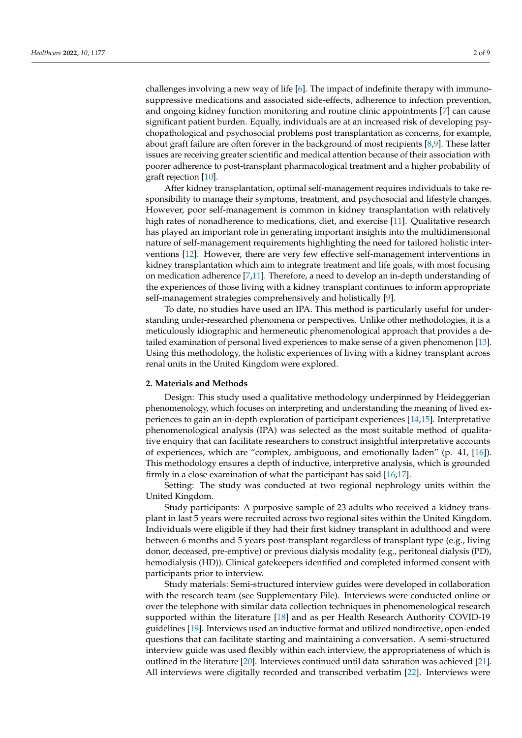challenges involving a new way of life [\[6\]](#page-7-5). The impact of indefinite therapy with immunosuppressive medications and associated side-effects, adherence to infection prevention, and ongoing kidney function monitoring and routine clinic appointments [\[7\]](#page-7-6) can cause significant patient burden. Equally, individuals are at an increased risk of developing psychopathological and psychosocial problems post transplantation as concerns, for example, about graft failure are often forever in the background of most recipients [\[8,](#page-7-7)[9\]](#page-7-8). These latter issues are receiving greater scientific and medical attention because of their association with poorer adherence to post-transplant pharmacological treatment and a higher probability of graft rejection [\[10\]](#page-7-9).

After kidney transplantation, optimal self-management requires individuals to take responsibility to manage their symptoms, treatment, and psychosocial and lifestyle changes. However, poor self-management is common in kidney transplantation with relatively high rates of nonadherence to medications, diet, and exercise [\[11\]](#page-7-10). Qualitative research has played an important role in generating important insights into the multidimensional nature of self-management requirements highlighting the need for tailored holistic interventions [\[12\]](#page-7-11). However, there are very few effective self-management interventions in kidney transplantation which aim to integrate treatment and life goals, with most focusing on medication adherence [\[7](#page-7-6)[,11\]](#page-7-10). Therefore, a need to develop an in-depth understanding of the experiences of those living with a kidney transplant continues to inform appropriate self-management strategies comprehensively and holistically [\[9\]](#page-7-8).

To date, no studies have used an IPA. This method is particularly useful for understanding under-researched phenomena or perspectives. Unlike other methodologies, it is a meticulously idiographic and hermeneutic phenomenological approach that provides a detailed examination of personal lived experiences to make sense of a given phenomenon [\[13\]](#page-7-12). Using this methodology, the holistic experiences of living with a kidney transplant across renal units in the United Kingdom were explored.

#### **2. Materials and Methods**

Design: This study used a qualitative methodology underpinned by Heideggerian phenomenology, which focuses on interpreting and understanding the meaning of lived experiences to gain an in-depth exploration of participant experiences [\[14](#page-7-13)[,15\]](#page-7-14). Interpretative phenomenological analysis (IPA) was selected as the most suitable method of qualitative enquiry that can facilitate researchers to construct insightful interpretative accounts of experiences, which are "complex, ambiguous, and emotionally laden" (p. 41, [\[16\]](#page-7-15)). This methodology ensures a depth of inductive, interpretive analysis, which is grounded firmly in a close examination of what the participant has said [\[16](#page-7-15)[,17\]](#page-7-16).

Setting: The study was conducted at two regional nephrology units within the United Kingdom.

Study participants: A purposive sample of 23 adults who received a kidney transplant in last 5 years were recruited across two regional sites within the United Kingdom. Individuals were eligible if they had their first kidney transplant in adulthood and were between 6 months and 5 years post-transplant regardless of transplant type (e.g., living donor, deceased, pre-emptive) or previous dialysis modality (e.g., peritoneal dialysis (PD), hemodialysis (HD)). Clinical gatekeepers identified and completed informed consent with participants prior to interview.

Study materials: Semi-structured interview guides were developed in collaboration with the research team (see Supplementary File). Interviews were conducted online or over the telephone with similar data collection techniques in phenomenological research supported within the literature [\[18\]](#page-7-17) and as per Health Research Authority COVID-19 guidelines [\[19\]](#page-7-18). Interviews used an inductive format and utilized nondirective, open-ended questions that can facilitate starting and maintaining a conversation. A semi-structured interview guide was used flexibly within each interview, the appropriateness of which is outlined in the literature [\[20\]](#page-7-19). Interviews continued until data saturation was achieved [\[21\]](#page-7-20). All interviews were digitally recorded and transcribed verbatim [\[22\]](#page-7-21). Interviews were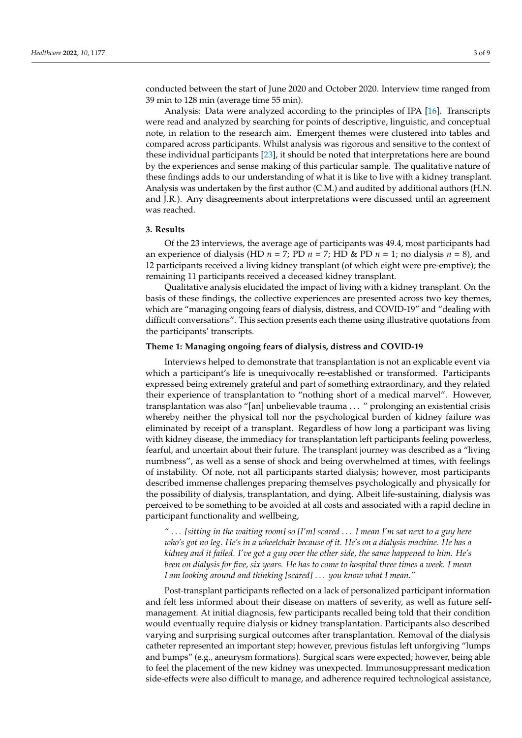conducted between the start of June 2020 and October 2020. Interview time ranged from 39 min to 128 min (average time 55 min).

Analysis: Data were analyzed according to the principles of IPA [\[16\]](#page-7-15). Transcripts were read and analyzed by searching for points of descriptive, linguistic, and conceptual note, in relation to the research aim. Emergent themes were clustered into tables and compared across participants. Whilst analysis was rigorous and sensitive to the context of these individual participants [\[23\]](#page-7-22), it should be noted that interpretations here are bound by the experiences and sense making of this particular sample. The qualitative nature of these findings adds to our understanding of what it is like to live with a kidney transplant. Analysis was undertaken by the first author (C.M.) and audited by additional authors (H.N. and J.R.). Any disagreements about interpretations were discussed until an agreement was reached.

#### **3. Results**

Of the 23 interviews, the average age of participants was 49.4, most participants had an experience of dialysis (HD  $n = 7$ ; PD  $n = 7$ ; HD & PD  $n = 1$ ; no dialysis  $n = 8$ ), and 12 participants received a living kidney transplant (of which eight were pre-emptive); the remaining 11 participants received a deceased kidney transplant.

Qualitative analysis elucidated the impact of living with a kidney transplant. On the basis of these findings, the collective experiences are presented across two key themes, which are "managing ongoing fears of dialysis, distress, and COVID-19" and "dealing with difficult conversations". This section presents each theme using illustrative quotations from the participants' transcripts.

#### **Theme 1: Managing ongoing fears of dialysis, distress and COVID-19**

Interviews helped to demonstrate that transplantation is not an explicable event via which a participant's life is unequivocally re-established or transformed. Participants expressed being extremely grateful and part of something extraordinary, and they related their experience of transplantation to "nothing short of a medical marvel". However, transplantation was also "[an] unbelievable trauma . . . " prolonging an existential crisis whereby neither the physical toll nor the psychological burden of kidney failure was eliminated by receipt of a transplant. Regardless of how long a participant was living with kidney disease, the immediacy for transplantation left participants feeling powerless, fearful, and uncertain about their future. The transplant journey was described as a "living numbness", as well as a sense of shock and being overwhelmed at times, with feelings of instability. Of note, not all participants started dialysis; however, most participants described immense challenges preparing themselves psychologically and physically for the possibility of dialysis, transplantation, and dying. Albeit life-sustaining, dialysis was perceived to be something to be avoided at all costs and associated with a rapid decline in participant functionality and wellbeing,

*"* . . . *[sitting in the waiting room] so [I'm] scared* . . . *I mean I'm sat next to a guy here who's got no leg. He's in a wheelchair because of it. He's on a dialysis machine. He has a kidney and it failed. I've got a guy over the other side, the same happened to him. He's been on dialysis for five, six years. He has to come to hospital three times a week. I mean I am looking around and thinking [scared]* . . . *you know what I mean."*

Post-transplant participants reflected on a lack of personalized participant information and felt less informed about their disease on matters of severity, as well as future selfmanagement. At initial diagnosis, few participants recalled being told that their condition would eventually require dialysis or kidney transplantation. Participants also described varying and surprising surgical outcomes after transplantation. Removal of the dialysis catheter represented an important step; however, previous fistulas left unforgiving "lumps and bumps" (e.g., aneurysm formations). Surgical scars were expected; however, being able to feel the placement of the new kidney was unexpected. Immunosuppressant medication side-effects were also difficult to manage, and adherence required technological assistance,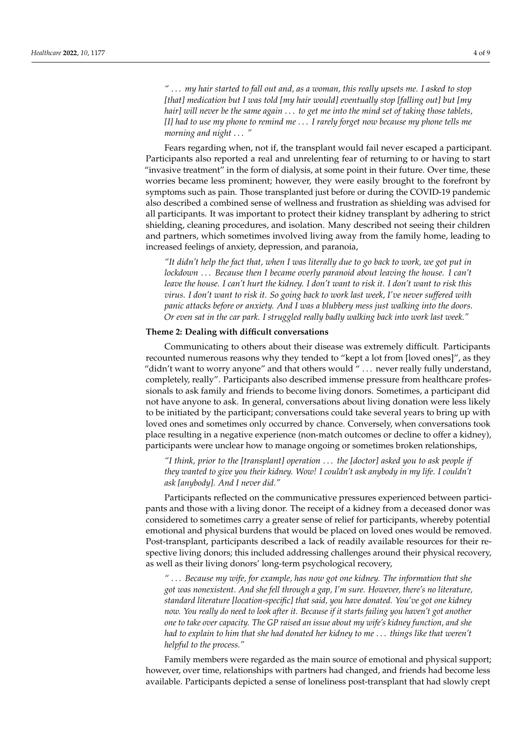*"* . . . *my hair started to fall out and, as a woman, this really upsets me. I asked to stop [that] medication but I was told [my hair would] eventually stop [falling out] but [my hair] will never be the same again* . . . *to get me into the mind set of taking those tablets, [I] had to use my phone to remind me* . . . *I rarely forget now because my phone tells me morning and night* . . . *"*

Fears regarding when, not if, the transplant would fail never escaped a participant. Participants also reported a real and unrelenting fear of returning to or having to start "invasive treatment" in the form of dialysis, at some point in their future. Over time, these worries became less prominent; however, they were easily brought to the forefront by symptoms such as pain. Those transplanted just before or during the COVID-19 pandemic also described a combined sense of wellness and frustration as shielding was advised for all participants. It was important to protect their kidney transplant by adhering to strict shielding, cleaning procedures, and isolation. Many described not seeing their children and partners, which sometimes involved living away from the family home, leading to increased feelings of anxiety, depression, and paranoia,

*"It didn't help the fact that, when I was literally due to go back to work, we got put in lockdown* . . . *Because then I became overly paranoid about leaving the house. I can't leave the house. I can't hurt the kidney. I don't want to risk it. I don't want to risk this virus. I don't want to risk it. So going back to work last week, I've never suffered with panic attacks before or anxiety. And I was a blubbery mess just walking into the doors. Or even sat in the car park. I struggled really badly walking back into work last week."*

## **Theme 2: Dealing with difficult conversations**

Communicating to others about their disease was extremely difficult. Participants recounted numerous reasons why they tended to "kept a lot from [loved ones]", as they "didn't want to worry anyone" and that others would " . . . never really fully understand, completely, really". Participants also described immense pressure from healthcare professionals to ask family and friends to become living donors. Sometimes, a participant did not have anyone to ask. In general, conversations about living donation were less likely to be initiated by the participant; conversations could take several years to bring up with loved ones and sometimes only occurred by chance. Conversely, when conversations took place resulting in a negative experience (non-match outcomes or decline to offer a kidney), participants were unclear how to manage ongoing or sometimes broken relationships,

*"I think, prior to the [transplant] operation* . . . *the [doctor] asked you to ask people if they wanted to give you their kidney. Wow! I couldn't ask anybody in my life. I couldn't ask [anybody]. And I never did."*

Participants reflected on the communicative pressures experienced between participants and those with a living donor. The receipt of a kidney from a deceased donor was considered to sometimes carry a greater sense of relief for participants, whereby potential emotional and physical burdens that would be placed on loved ones would be removed. Post-transplant, participants described a lack of readily available resources for their respective living donors; this included addressing challenges around their physical recovery, as well as their living donors' long-term psychological recovery,

*"* . . . *Because my wife, for example, has now got one kidney. The information that she got was nonexistent. And she fell through a gap, I'm sure. However, there's no literature, standard literature [location-specific] that said, you have donated. You've got one kidney now. You really do need to look after it. Because if it starts failing you haven't got another one to take over capacity. The GP raised an issue about my wife's kidney function, and she had to explain to him that she had donated her kidney to me* . . . *things like that weren't helpful to the process."*

Family members were regarded as the main source of emotional and physical support; however, over time, relationships with partners had changed, and friends had become less available. Participants depicted a sense of loneliness post-transplant that had slowly crept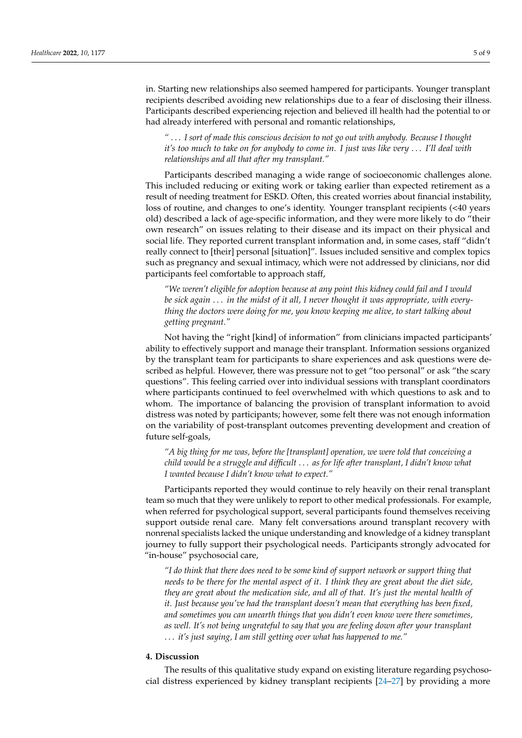in. Starting new relationships also seemed hampered for participants. Younger transplant recipients described avoiding new relationships due to a fear of disclosing their illness. Participants described experiencing rejection and believed ill health had the potential to or had already interfered with personal and romantic relationships,

*"* . . . *I sort of made this conscious decision to not go out with anybody. Because I thought it's too much to take on for anybody to come in. I just was like very* . . . *I'll deal with relationships and all that after my transplant."*

Participants described managing a wide range of socioeconomic challenges alone. This included reducing or exiting work or taking earlier than expected retirement as a result of needing treatment for ESKD. Often, this created worries about financial instability, loss of routine, and changes to one's identity. Younger transplant recipients (<40 years old) described a lack of age-specific information, and they were more likely to do "their own research" on issues relating to their disease and its impact on their physical and social life. They reported current transplant information and, in some cases, staff "didn't really connect to [their] personal [situation]". Issues included sensitive and complex topics such as pregnancy and sexual intimacy, which were not addressed by clinicians, nor did participants feel comfortable to approach staff,

*"We weren't eligible for adoption because at any point this kidney could fail and I would be sick again* . . . *in the midst of it all, I never thought it was appropriate, with everything the doctors were doing for me, you know keeping me alive, to start talking about getting pregnant."*

Not having the "right [kind] of information" from clinicians impacted participants' ability to effectively support and manage their transplant. Information sessions organized by the transplant team for participants to share experiences and ask questions were described as helpful. However, there was pressure not to get "too personal" or ask "the scary questions". This feeling carried over into individual sessions with transplant coordinators where participants continued to feel overwhelmed with which questions to ask and to whom. The importance of balancing the provision of transplant information to avoid distress was noted by participants; however, some felt there was not enough information on the variability of post-transplant outcomes preventing development and creation of future self-goals,

*"A big thing for me was, before the [transplant] operation, we were told that conceiving a child would be a struggle and difficult* . . . *as for life after transplant, I didn't know what I wanted because I didn't know what to expect."*

Participants reported they would continue to rely heavily on their renal transplant team so much that they were unlikely to report to other medical professionals. For example, when referred for psychological support, several participants found themselves receiving support outside renal care. Many felt conversations around transplant recovery with nonrenal specialists lacked the unique understanding and knowledge of a kidney transplant journey to fully support their psychological needs. Participants strongly advocated for "in-house" psychosocial care,

*"I do think that there does need to be some kind of support network or support thing that needs to be there for the mental aspect of it. I think they are great about the diet side, they are great about the medication side, and all of that. It's just the mental health of it. Just because you've had the transplant doesn't mean that everything has been fixed, and sometimes you can unearth things that you didn't even know were there sometimes, as well. It's not being ungrateful to say that you are feeling down after your transplant* . . . *it's just saying, I am still getting over what has happened to me."*

## **4. Discussion**

The results of this qualitative study expand on existing literature regarding psychosocial distress experienced by kidney transplant recipients [\[24–](#page-7-23)[27\]](#page-8-0) by providing a more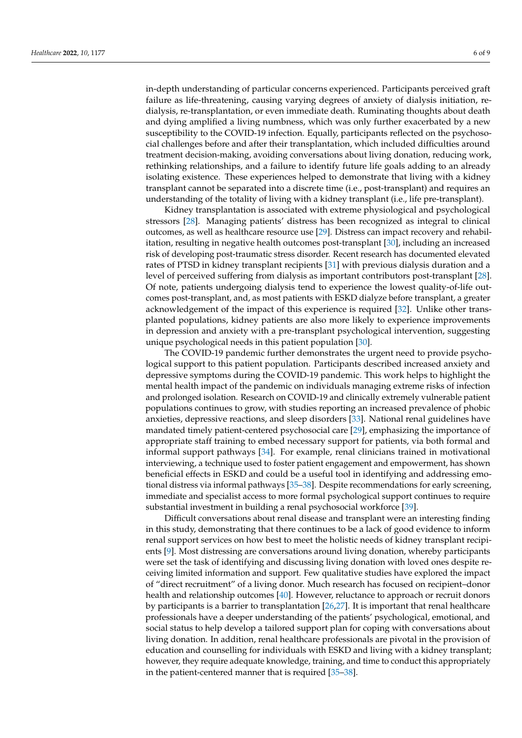in-depth understanding of particular concerns experienced. Participants perceived graft failure as life-threatening, causing varying degrees of anxiety of dialysis initiation, redialysis, re-transplantation, or even immediate death. Ruminating thoughts about death and dying amplified a living numbness, which was only further exacerbated by a new susceptibility to the COVID-19 infection. Equally, participants reflected on the psychosocial challenges before and after their transplantation, which included difficulties around treatment decision-making, avoiding conversations about living donation, reducing work, rethinking relationships, and a failure to identify future life goals adding to an already isolating existence. These experiences helped to demonstrate that living with a kidney transplant cannot be separated into a discrete time (i.e., post-transplant) and requires an understanding of the totality of living with a kidney transplant (i.e., life pre-transplant).

Kidney transplantation is associated with extreme physiological and psychological stressors [\[28\]](#page-8-1). Managing patients' distress has been recognized as integral to clinical outcomes, as well as healthcare resource use [\[29\]](#page-8-2). Distress can impact recovery and rehabilitation, resulting in negative health outcomes post-transplant [\[30\]](#page-8-3), including an increased risk of developing post-traumatic stress disorder. Recent research has documented elevated rates of PTSD in kidney transplant recipients [\[31\]](#page-8-4) with previous dialysis duration and a level of perceived suffering from dialysis as important contributors post-transplant [\[28\]](#page-8-1). Of note, patients undergoing dialysis tend to experience the lowest quality-of-life outcomes post-transplant, and, as most patients with ESKD dialyze before transplant, a greater acknowledgement of the impact of this experience is required [\[32\]](#page-8-5). Unlike other transplanted populations, kidney patients are also more likely to experience improvements in depression and anxiety with a pre-transplant psychological intervention, suggesting unique psychological needs in this patient population [\[30\]](#page-8-3).

The COVID-19 pandemic further demonstrates the urgent need to provide psychological support to this patient population. Participants described increased anxiety and depressive symptoms during the COVID-19 pandemic. This work helps to highlight the mental health impact of the pandemic on individuals managing extreme risks of infection and prolonged isolation. Research on COVID-19 and clinically extremely vulnerable patient populations continues to grow, with studies reporting an increased prevalence of phobic anxieties, depressive reactions, and sleep disorders [\[33\]](#page-8-6). National renal guidelines have mandated timely patient-centered psychosocial care [\[29\]](#page-8-2), emphasizing the importance of appropriate staff training to embed necessary support for patients, via both formal and informal support pathways [\[34\]](#page-8-7). For example, renal clinicians trained in motivational interviewing, a technique used to foster patient engagement and empowerment, has shown beneficial effects in ESKD and could be a useful tool in identifying and addressing emotional distress via informal pathways [\[35](#page-8-8)[–38\]](#page-8-9). Despite recommendations for early screening, immediate and specialist access to more formal psychological support continues to require substantial investment in building a renal psychosocial workforce [\[39\]](#page-8-10).

Difficult conversations about renal disease and transplant were an interesting finding in this study, demonstrating that there continues to be a lack of good evidence to inform renal support services on how best to meet the holistic needs of kidney transplant recipients [\[9\]](#page-7-8). Most distressing are conversations around living donation, whereby participants were set the task of identifying and discussing living donation with loved ones despite receiving limited information and support. Few qualitative studies have explored the impact of "direct recruitment" of a living donor. Much research has focused on recipient–donor health and relationship outcomes [\[40\]](#page-8-11). However, reluctance to approach or recruit donors by participants is a barrier to transplantation [\[26](#page-8-12)[,27\]](#page-8-0). It is important that renal healthcare professionals have a deeper understanding of the patients' psychological, emotional, and social status to help develop a tailored support plan for coping with conversations about living donation. In addition, renal healthcare professionals are pivotal in the provision of education and counselling for individuals with ESKD and living with a kidney transplant; however, they require adequate knowledge, training, and time to conduct this appropriately in the patient-centered manner that is required [\[35–](#page-8-8)[38\]](#page-8-9).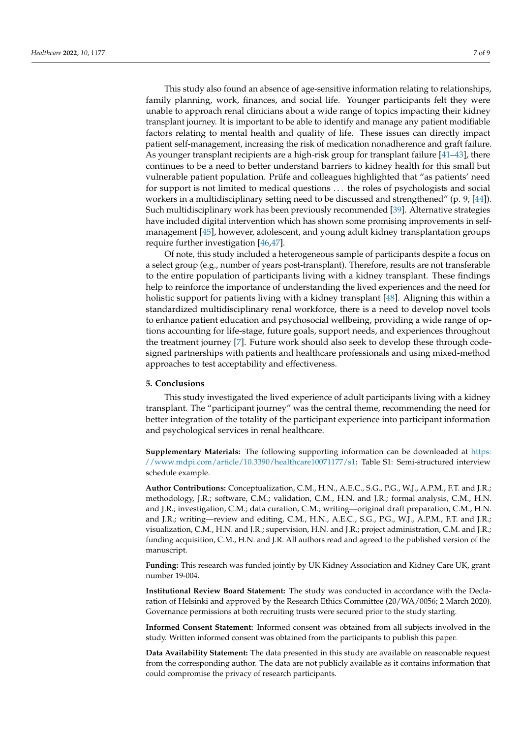This study also found an absence of age-sensitive information relating to relationships, family planning, work, finances, and social life. Younger participants felt they were unable to approach renal clinicians about a wide range of topics impacting their kidney transplant journey. It is important to be able to identify and manage any patient modifiable factors relating to mental health and quality of life. These issues can directly impact patient self-management, increasing the risk of medication nonadherence and graft failure. As younger transplant recipients are a high-risk group for transplant failure [\[41–](#page-8-13)[43\]](#page-8-14), there continues to be a need to better understand barriers to kidney health for this small but vulnerable patient population. Prüfe and colleagues highlighted that "as patients' need for support is not limited to medical questions . . . the roles of psychologists and social workers in a multidisciplinary setting need to be discussed and strengthened" (p. 9, [\[44\]](#page-8-15)). Such multidisciplinary work has been previously recommended [\[39\]](#page-8-10). Alternative strategies have included digital intervention which has shown some promising improvements in selfmanagement [\[45\]](#page-8-16), however, adolescent, and young adult kidney transplantation groups require further investigation [\[46,](#page-8-17)[47\]](#page-8-18).

Of note, this study included a heterogeneous sample of participants despite a focus on a select group (e.g., number of years post-transplant). Therefore, results are not transferable to the entire population of participants living with a kidney transplant. These findings help to reinforce the importance of understanding the lived experiences and the need for holistic support for patients living with a kidney transplant [\[48\]](#page-8-19). Aligning this within a standardized multidisciplinary renal workforce, there is a need to develop novel tools to enhance patient education and psychosocial wellbeing, providing a wide range of options accounting for life-stage, future goals, support needs, and experiences throughout the treatment journey [\[7\]](#page-7-6). Future work should also seek to develop these through codesigned partnerships with patients and healthcare professionals and using mixed-method approaches to test acceptability and effectiveness.

## **5. Conclusions**

This study investigated the lived experience of adult participants living with a kidney transplant. The "participant journey" was the central theme, recommending the need for better integration of the totality of the participant experience into participant information and psychological services in renal healthcare.

**Supplementary Materials:** The following supporting information can be downloaded at [https:](https://www.mdpi.com/article/10.3390/healthcare10071177/s1) [//www.mdpi.com/article/10.3390/healthcare10071177/s1:](https://www.mdpi.com/article/10.3390/healthcare10071177/s1) Table S1: Semi-structured interview schedule example.

**Author Contributions:** Conceptualization, C.M., H.N., A.E.C., S.G., P.G., W.J., A.P.M., F.T. and J.R.; methodology, J.R.; software, C.M.; validation, C.M., H.N. and J.R.; formal analysis, C.M., H.N. and J.R.; investigation, C.M.; data curation, C.M.; writing—original draft preparation, C.M., H.N. and J.R.; writing—review and editing, C.M., H.N., A.E.C., S.G., P.G., W.J., A.P.M., F.T. and J.R.; visualization, C.M., H.N. and J.R.; supervision, H.N. and J.R.; project administration, C.M. and J.R.; funding acquisition, C.M., H.N. and J.R. All authors read and agreed to the published version of the manuscript.

**Funding:** This research was funded jointly by UK Kidney Association and Kidney Care UK, grant number 19-004.

**Institutional Review Board Statement:** The study was conducted in accordance with the Declaration of Helsinki and approved by the Research Ethics Committee (20/WA/0056; 2 March 2020). Governance permissions at both recruiting trusts were secured prior to the study starting.

**Informed Consent Statement:** Informed consent was obtained from all subjects involved in the study. Written informed consent was obtained from the participants to publish this paper.

**Data Availability Statement:** The data presented in this study are available on reasonable request from the corresponding author. The data are not publicly available as it contains information that could compromise the privacy of research participants.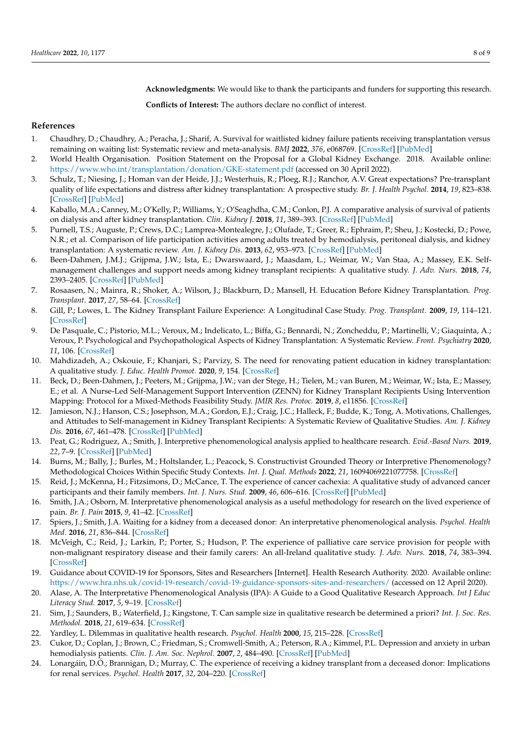**Acknowledgments:** We would like to thank the participants and funders for supporting this research.

**Conflicts of Interest:** The authors declare no conflict of interest.

## **References**

- <span id="page-7-0"></span>1. Chaudhry, D.; Chaudhry, A.; Peracha, J.; Sharif, A. Survival for waitlisted kidney failure patients receiving transplantation versus remaining on waiting list: Systematic review and meta-analysis. *BMJ* **2022**, *376*, e068769. [\[CrossRef\]](http://doi.org/10.1136/bmj-2021-068769) [\[PubMed\]](http://www.ncbi.nlm.nih.gov/pubmed/35232772)
- <span id="page-7-1"></span>2. World Health Organisation. Position Statement on the Proposal for a Global Kidney Exchange. 2018. Available online: <https://www.who.int/transplantation/donation/GKE-statement.pdf> (accessed on 30 April 2022).
- <span id="page-7-2"></span>3. Schulz, T.; Niesing, J.; Homan van der Heide, J.J.; Westerhuis, R.; Ploeg, R.J.; Ranchor, A.V. Great expectations? Pre-transplant quality of life expectations and distress after kidney transplantation: A prospective study. *Br. J. Health Psychol.* **2014**, *19*, 823–838. [\[CrossRef\]](http://doi.org/10.1111/bjhp.12081) [\[PubMed\]](http://www.ncbi.nlm.nih.gov/pubmed/24330416)
- <span id="page-7-3"></span>4. Kaballo, M.A.; Canney, M.; O'Kelly, P.; Williams, Y.; O'Seaghdha, C.M.; Conlon, P.J. A comparative analysis of survival of patients on dialysis and after kidney transplantation. *Clin. Kidney J.* **2018**, *11*, 389–393. [\[CrossRef\]](http://doi.org/10.1093/ckj/sfx117) [\[PubMed\]](http://www.ncbi.nlm.nih.gov/pubmed/29942504)
- <span id="page-7-4"></span>5. Purnell, T.S.; Auguste, P.; Crews, D.C.; Lamprea-Montealegre, J.; Olufade, T.; Greer, R.; Ephraim, P.; Sheu, J.; Kostecki, D.; Powe, N.R.; et al. Comparison of life participation activities among adults treated by hemodialysis, peritoneal dialysis, and kidney transplantation: A systematic review. *Am. J. Kidney Dis.* **2013**, *62*, 953–973. [\[CrossRef\]](http://doi.org/10.1053/j.ajkd.2013.03.022) [\[PubMed\]](http://www.ncbi.nlm.nih.gov/pubmed/23725972)
- <span id="page-7-5"></span>6. Been-Dahmen, J.M.J.; Grijpma, J.W.; Ista, E.; Dwarswaard, J.; Maasdam, L.; Weimar, W.; Van Staa, A.; Massey, E.K. Selfmanagement challenges and support needs among kidney transplant recipients: A qualitative study. *J. Adv. Nurs.* **2018**, *74*, 2393–2405. [\[CrossRef\]](http://doi.org/10.1111/jan.13730) [\[PubMed\]](http://www.ncbi.nlm.nih.gov/pubmed/29869342)
- <span id="page-7-6"></span>7. Rosaasen, N.; Mainra, R.; Shoker, A.; Wilson, J.; Blackburn, D.; Mansell, H. Education Before Kidney Transplantation. *Prog. Transplant.* **2017**, *27*, 58–64. [\[CrossRef\]](http://doi.org/10.1177/1526924816685862)
- <span id="page-7-7"></span>8. Gill, P.; Lowes, L. The Kidney Transplant Failure Experience: A Longitudinal Case Study. *Prog. Transplant.* **2009**, *19*, 114–121. [\[CrossRef\]](http://doi.org/10.1177/152692480901900204)
- <span id="page-7-8"></span>9. De Pasquale, C.; Pistorio, M.L.; Veroux, M.; Indelicato, L.; Biffa, G.; Bennardi, N.; Zoncheddu, P.; Martinelli, V.; Giaquinta, A.; Veroux, P. Psychological and Psychopathological Aspects of Kidney Transplantation: A Systematic Review. *Front. Psychiatry* **2020**, *11*, 106. [\[CrossRef\]](http://doi.org/10.3389/fpsyt.2020.00106)
- <span id="page-7-9"></span>10. Mahdizadeh, A.; Oskouie, F.; Khanjari, S.; Parvizy, S. The need for renovating patient education in kidney transplantation: A qualitative study. *J. Educ. Health Promot.* **2020**, *9*, 154. [\[CrossRef\]](http://doi.org/10.4103/jehp.jehp_574_19)
- <span id="page-7-10"></span>11. Beck, D.; Been-Dahmen, J.; Peeters, M.; Grijpma, J.W.; van der Stege, H.; Tielen, M.; van Buren, M.; Weimar, W.; Ista, E.; Massey, E.; et al. A Nurse-Led Self-Management Support Intervention (ZENN) for Kidney Transplant Recipients Using Intervention Mapping: Protocol for a Mixed-Methods Feasibility Study. *JMIR Res. Protoc.* **2019**, *8*, e11856. [\[CrossRef\]](http://doi.org/10.2196/11856)
- <span id="page-7-11"></span>12. Jamieson, N.J.; Hanson, C.S.; Josephson, M.A.; Gordon, E.J.; Craig, J.C.; Halleck, F.; Budde, K.; Tong, A. Motivations, Challenges, and Attitudes to Self-management in Kidney Transplant Recipients: A Systematic Review of Qualitative Studies. *Am. J. Kidney Dis.* **2016**, *67*, 461–478. [\[CrossRef\]](http://doi.org/10.1053/j.ajkd.2015.07.030) [\[PubMed\]](http://www.ncbi.nlm.nih.gov/pubmed/26372087)
- <span id="page-7-12"></span>13. Peat, G.; Rodriguez, A.; Smith, J. Interpretive phenomenological analysis applied to healthcare research. *Evid.-Based Nurs.* **2019**, *22*, 7–9. [\[CrossRef\]](http://doi.org/10.1136/ebnurs-2018-103017) [\[PubMed\]](http://www.ncbi.nlm.nih.gov/pubmed/30504450)
- <span id="page-7-13"></span>14. Burns, M.; Bally, J.; Burles, M.; Holtslander, L.; Peacock, S. Constructivist Grounded Theory or Interpretive Phenomenology? Methodological Choices Within Specific Study Contexts. *Int. J. Qual. Methods* **2022**, *21*, 16094069221077758. [\[CrossRef\]](http://doi.org/10.1177/16094069221077758)
- <span id="page-7-14"></span>15. Reid, J.; McKenna, H.; Fitzsimons, D.; McCance, T. The experience of cancer cachexia: A qualitative study of advanced cancer participants and their family members. *Int. J. Nurs. Stud.* **2009**, *46*, 606–616. [\[CrossRef\]](http://doi.org/10.1016/j.ijnurstu.2008.10.012) [\[PubMed\]](http://www.ncbi.nlm.nih.gov/pubmed/19081090)
- <span id="page-7-15"></span>16. Smith, J.A.; Osborn, M. Interpretative phenomenological analysis as a useful methodology for research on the lived experience of pain. *Br. J. Pain* **2015**, *9*, 41–42. [\[CrossRef\]](http://doi.org/10.1177/2049463714541642)
- <span id="page-7-16"></span>17. Spiers, J.; Smith, J.A. Waiting for a kidney from a deceased donor: An interpretative phenomenological analysis. *Psychol. Health Med.* **2016**, *21*, 836–844. [\[CrossRef\]](http://doi.org/10.1080/13548506.2015.1112415)
- <span id="page-7-17"></span>18. McVeigh, C.; Reid, J.; Larkin, P.; Porter, S.; Hudson, P. The experience of palliative care service provision for people with non-malignant respiratory disease and their family carers: An all-Ireland qualitative study. *J. Adv. Nurs.* **2018**, *74*, 383–394. [\[CrossRef\]](http://doi.org/10.1111/jan.13453)
- <span id="page-7-18"></span>19. Guidance about COVID-19 for Sponsors, Sites and Researchers [Internet]. Health Research Authority. 2020. Available online: <https://www.hra.nhs.uk/covid-19-research/covid-19-guidance-sponsors-sites-and-researchers/> (accessed on 12 April 2020).
- <span id="page-7-19"></span>20. Alase, A. The Interpretative Phenomenological Analysis (IPA): A Guide to a Good Qualitative Research Approach. *Int J Educ Literacy Stud.* **2017**, *5*, 9–19. [\[CrossRef\]](http://doi.org/10.7575/aiac.ijels.v.5n.2p.9)
- <span id="page-7-20"></span>21. Sim, J.; Saunders, B.; Waterfield, J.; Kingstone, T. Can sample size in qualitative research be determined a priori? *Int. J. Soc. Res. Methodol.* **2018**, *21*, 619–634. [\[CrossRef\]](http://doi.org/10.1080/13645579.2018.1454643)
- <span id="page-7-21"></span>22. Yardley, L. Dilemmas in qualitative health research. *Psychol. Health* **2000**, *15*, 215–228. [\[CrossRef\]](http://doi.org/10.1080/08870440008400302)
- <span id="page-7-22"></span>23. Cukor, D.; Coplan, J.; Brown, C.; Friedman, S.; Cromwell-Smith, A.; Peterson, R.A.; Kimmel, P.L. Depression and anxiety in urban hemodialysis patients. *Clin. J. Am. Soc. Nephrol.* **2007**, *2*, 484–490. [\[CrossRef\]](http://doi.org/10.2215/CJN.00040107) [\[PubMed\]](http://www.ncbi.nlm.nih.gov/pubmed/17699455)
- <span id="page-7-23"></span>24. Lonargáin, D.Ó.; Brannigan, D.; Murray, C. The experience of receiving a kidney transplant from a deceased donor: Implications for renal services. *Psychol. Health* **2017**, *32*, 204–220. [\[CrossRef\]](http://doi.org/10.1080/08870446.2016.1254214)